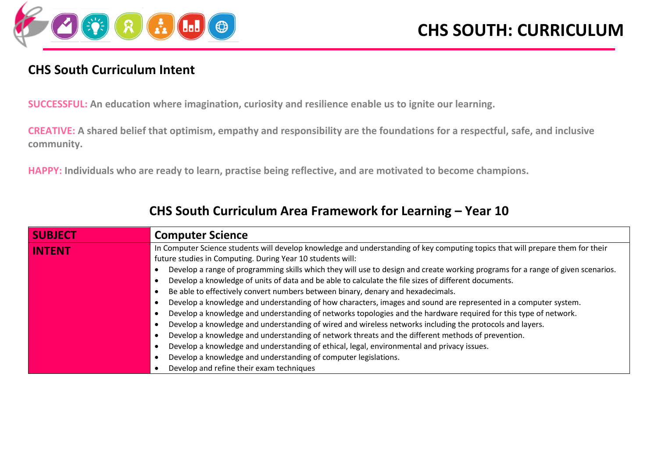

#### **CHS South Curriculum Intent**

**SUCCESSFUL: An education where imagination, curiosity and resilience enable us to ignite our learning.**

**CREATIVE: A shared belief that optimism, empathy and responsibility are the foundations for a respectful, safe, and inclusive community.**

**HAPPY: Individuals who are ready to learn, practise being reflective, and are motivated to become champions.**

| <b>SUBJECT</b>                                                                  | <b>Computer Science</b>                                                                                                                                                                      |  |  |  |  |  |
|---------------------------------------------------------------------------------|----------------------------------------------------------------------------------------------------------------------------------------------------------------------------------------------|--|--|--|--|--|
| <b>INTENT</b>                                                                   | In Computer Science students will develop knowledge and understanding of key computing topics that will prepare them for their<br>future studies in Computing. During Year 10 students will: |  |  |  |  |  |
|                                                                                 | Develop a range of programming skills which they will use to design and create working programs for a range of given scenarios.                                                              |  |  |  |  |  |
|                                                                                 | Develop a knowledge of units of data and be able to calculate the file sizes of different documents.                                                                                         |  |  |  |  |  |
| Be able to effectively convert numbers between binary, denary and hexadecimals. |                                                                                                                                                                                              |  |  |  |  |  |
|                                                                                 | Develop a knowledge and understanding of how characters, images and sound are represented in a computer system.                                                                              |  |  |  |  |  |
|                                                                                 | Develop a knowledge and understanding of networks topologies and the hardware required for this type of network.                                                                             |  |  |  |  |  |
|                                                                                 | Develop a knowledge and understanding of wired and wireless networks including the protocols and layers.                                                                                     |  |  |  |  |  |
|                                                                                 | Develop a knowledge and understanding of network threats and the different methods of prevention.                                                                                            |  |  |  |  |  |
|                                                                                 | Develop a knowledge and understanding of ethical, legal, environmental and privacy issues.                                                                                                   |  |  |  |  |  |
|                                                                                 | Develop a knowledge and understanding of computer legislations.                                                                                                                              |  |  |  |  |  |
|                                                                                 | Develop and refine their exam techniques                                                                                                                                                     |  |  |  |  |  |

#### **CHS South Curriculum Area Framework for Learning – Year 10**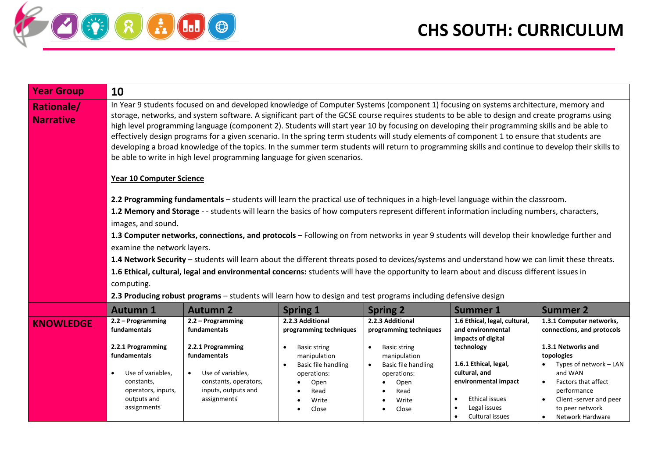

| <b>Year Group</b>                     | 10                                                                                                                                                                                                                                                                                                                                                                                                                                                                                                                                                                                                                                                                                                                                                                                                                      |                                                                                                                                            |                                                                      |                                                                      |                                                                                                                                  |                                                                                                                                                                                         |  |
|---------------------------------------|-------------------------------------------------------------------------------------------------------------------------------------------------------------------------------------------------------------------------------------------------------------------------------------------------------------------------------------------------------------------------------------------------------------------------------------------------------------------------------------------------------------------------------------------------------------------------------------------------------------------------------------------------------------------------------------------------------------------------------------------------------------------------------------------------------------------------|--------------------------------------------------------------------------------------------------------------------------------------------|----------------------------------------------------------------------|----------------------------------------------------------------------|----------------------------------------------------------------------------------------------------------------------------------|-----------------------------------------------------------------------------------------------------------------------------------------------------------------------------------------|--|
| <b>Rationale/</b><br><b>Narrative</b> | In Year 9 students focused on and developed knowledge of Computer Systems (component 1) focusing on systems architecture, memory and<br>storage, networks, and system software. A significant part of the GCSE course requires students to be able to design and create programs using<br>high level programming language (component 2). Students will start year 10 by focusing on developing their programming skills and be able to<br>effectively design programs for a given scenario. In the spring term students will study elements of component 1 to ensure that students are<br>developing a broad knowledge of the topics. In the summer term students will return to programming skills and continue to develop their skills to<br>be able to write in high level programming language for given scenarios. |                                                                                                                                            |                                                                      |                                                                      |                                                                                                                                  |                                                                                                                                                                                         |  |
|                                       | <b>Year 10 Computer Science</b>                                                                                                                                                                                                                                                                                                                                                                                                                                                                                                                                                                                                                                                                                                                                                                                         |                                                                                                                                            |                                                                      |                                                                      |                                                                                                                                  |                                                                                                                                                                                         |  |
|                                       |                                                                                                                                                                                                                                                                                                                                                                                                                                                                                                                                                                                                                                                                                                                                                                                                                         | 2.2 Programming fundamentals - students will learn the practical use of techniques in a high-level language within the classroom.          |                                                                      |                                                                      |                                                                                                                                  |                                                                                                                                                                                         |  |
|                                       |                                                                                                                                                                                                                                                                                                                                                                                                                                                                                                                                                                                                                                                                                                                                                                                                                         | 1.2 Memory and Storage - - students will learn the basics of how computers represent different information including numbers, characters,  |                                                                      |                                                                      |                                                                                                                                  |                                                                                                                                                                                         |  |
|                                       | images, and sound.                                                                                                                                                                                                                                                                                                                                                                                                                                                                                                                                                                                                                                                                                                                                                                                                      |                                                                                                                                            |                                                                      |                                                                      |                                                                                                                                  |                                                                                                                                                                                         |  |
|                                       |                                                                                                                                                                                                                                                                                                                                                                                                                                                                                                                                                                                                                                                                                                                                                                                                                         | 1.3 Computer networks, connections, and protocols - Following on from networks in year 9 students will develop their knowledge further and |                                                                      |                                                                      |                                                                                                                                  |                                                                                                                                                                                         |  |
|                                       | examine the network layers.                                                                                                                                                                                                                                                                                                                                                                                                                                                                                                                                                                                                                                                                                                                                                                                             |                                                                                                                                            |                                                                      |                                                                      |                                                                                                                                  |                                                                                                                                                                                         |  |
|                                       | 1.4 Network Security - students will learn about the different threats posed to devices/systems and understand how we can limit these threats.                                                                                                                                                                                                                                                                                                                                                                                                                                                                                                                                                                                                                                                                          |                                                                                                                                            |                                                                      |                                                                      |                                                                                                                                  |                                                                                                                                                                                         |  |
|                                       | 1.6 Ethical, cultural, legal and environmental concerns: students will have the opportunity to learn about and discuss different issues in                                                                                                                                                                                                                                                                                                                                                                                                                                                                                                                                                                                                                                                                              |                                                                                                                                            |                                                                      |                                                                      |                                                                                                                                  |                                                                                                                                                                                         |  |
|                                       | computing.                                                                                                                                                                                                                                                                                                                                                                                                                                                                                                                                                                                                                                                                                                                                                                                                              |                                                                                                                                            |                                                                      |                                                                      |                                                                                                                                  |                                                                                                                                                                                         |  |
|                                       |                                                                                                                                                                                                                                                                                                                                                                                                                                                                                                                                                                                                                                                                                                                                                                                                                         | 2.3 Producing robust programs - students will learn how to design and test programs including defensive design                             |                                                                      |                                                                      |                                                                                                                                  |                                                                                                                                                                                         |  |
|                                       | <b>Autumn 1</b>                                                                                                                                                                                                                                                                                                                                                                                                                                                                                                                                                                                                                                                                                                                                                                                                         | <b>Autumn 2</b>                                                                                                                            | <b>Spring 1</b>                                                      | <b>Spring 2</b>                                                      | <b>Summer 1</b>                                                                                                                  | <b>Summer 2</b>                                                                                                                                                                         |  |
| <b>KNOWLEDGE</b>                      | 2.2 – Programming<br>fundamentals<br>2.2.1 Programming                                                                                                                                                                                                                                                                                                                                                                                                                                                                                                                                                                                                                                                                                                                                                                  | 2.2 - Programming<br>fundamentals<br>2.2.1 Programming                                                                                     | 2.2.3 Additional<br>programming techniques<br><b>Basic string</b>    | 2.2.3 Additional<br>programming techniques<br><b>Basic string</b>    | 1.6 Ethical, legal, cultural,<br>and environmental<br>impacts of digital<br>technology                                           | 1.3.1 Computer networks,<br>connections, and protocols<br>1.3.1 Networks and                                                                                                            |  |
|                                       | fundamentals                                                                                                                                                                                                                                                                                                                                                                                                                                                                                                                                                                                                                                                                                                                                                                                                            | fundamentals                                                                                                                               | manipulation                                                         | manipulation                                                         |                                                                                                                                  | topologies                                                                                                                                                                              |  |
|                                       | Use of variables,<br>$\bullet$<br>constants,<br>operators, inputs,<br>outputs and<br>assignments                                                                                                                                                                                                                                                                                                                                                                                                                                                                                                                                                                                                                                                                                                                        | Use of variables,<br>$\bullet$<br>constants, operators,<br>inputs, outputs and<br>assignments <sup>"</sup>                                 | Basic file handling<br>operations:<br>Open<br>Read<br>Write<br>Close | Basic file handling<br>operations:<br>Open<br>Read<br>Write<br>Close | 1.6.1 Ethical, legal,<br>cultural, and<br>environmental impact<br>Ethical issues<br>Legal issues<br>Cultural issues<br>$\bullet$ | Types of network - LAN<br>and WAN<br><b>Factors that affect</b><br>$\bullet$<br>performance<br>Client -server and peer<br>$\bullet$<br>to peer network<br>Network Hardware<br>$\bullet$ |  |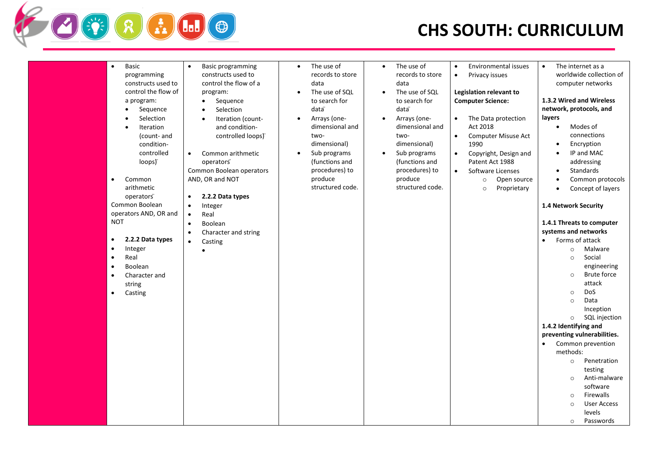

| <b>Basic</b><br>$\bullet$<br>programming<br>constructs used to<br>control the flow of<br>a program:<br>Sequence<br>Selection<br><b>Iteration</b><br>(count- and<br>condition-<br>controlled<br>loops)<br>Common<br>$\bullet$<br>arithmetic<br>operators <sup>"</sup><br>Common Boolean<br>operators AND, OR and<br><b>NOT</b><br>2.2.2 Data types<br>$\bullet$<br>Integer<br>$\bullet$<br>Real<br>$\bullet$<br>Boolean<br>$\bullet$<br>Character and<br>$\bullet$<br>string<br>Casting<br>$\bullet$ | <b>Basic programming</b><br>$\bullet$<br>constructs used to<br>control the flow of a<br>program:<br>Sequence<br>$\bullet$<br>Selection<br>$\bullet$<br>Iteration (count-<br>$\bullet$<br>and condition-<br>controlled loops)<br>Common arithmetic<br>$\bullet$<br>operators <sup>"</sup><br>Common Boolean operators<br>AND, OR and NOT<br>2.2.2 Data types<br>$\bullet$<br>Integer<br>$\bullet$<br>Real<br>$\bullet$<br>Boolean<br>$\bullet$<br>Character and string<br>$\bullet$<br>Casting<br>$\bullet$ | The use of<br>$\bullet$<br>records to store<br>data<br>The use of SQL<br>to search for<br>data <sup>"</sup><br>Arrays (one-<br>$\bullet$<br>dimensional and<br>two-<br>dimensional)<br>Sub programs<br>$\bullet$<br>(functions and<br>procedures) to<br>produce<br>structured code. | The use of<br>$\bullet$<br>records to store<br>data<br>The use of SQL<br>$\bullet$<br>to search for<br>data <sup>"</sup><br>Arrays (one-<br>$\bullet$<br>dimensional and<br>two-<br>dimensional)<br>Sub programs<br>$\bullet$<br>(functions and<br>procedures) to<br>produce<br>structured code. | <b>Environmental issues</b><br>$\bullet$<br>Privacy issues<br>$\bullet$<br>Legislation relevant to<br><b>Computer Science:</b><br>The Data protection<br>$\bullet$<br>Act 2018<br>$\bullet$<br><b>Computer Misuse Act</b><br>1990<br>Copyright, Design and<br>$\bullet$<br>Patent Act 1988<br>Software Licenses<br>$\bullet$<br>Open source<br>$\circ$<br>Proprietary<br>$\circ$ | The internet as a<br>$\bullet$<br>worldwide collection of<br>computer networks<br>1.3.2 Wired and Wireless<br>network, protocols, and<br>layers<br>Modes of<br>$\bullet$<br>connections<br>Encryption<br>$\bullet$<br>IP and MAC<br>$\bullet$<br>addressing<br>Standards<br>$\bullet$<br>Common protocols<br>$\bullet$<br>Concept of layers<br>$\bullet$<br>1.4 Network Security<br>1.4.1 Threats to computer<br>systems and networks<br>Forms of attack<br>Malware<br>$\circ$<br>Social<br>$\circ$<br>engineering<br><b>Brute force</b><br>$\circ$<br>attack<br>DoS<br>$\circ$<br>Data<br>$\circ$<br>Inception<br>SQL injection<br>$\circ$<br>1.4.2 Identifying and<br>preventing vulnerabilities.<br>Common prevention<br>$\bullet$<br>methods:<br>Penetration<br>$\circ$<br>testing<br>Anti-malware<br>$\circ$<br>software |
|-----------------------------------------------------------------------------------------------------------------------------------------------------------------------------------------------------------------------------------------------------------------------------------------------------------------------------------------------------------------------------------------------------------------------------------------------------------------------------------------------------|------------------------------------------------------------------------------------------------------------------------------------------------------------------------------------------------------------------------------------------------------------------------------------------------------------------------------------------------------------------------------------------------------------------------------------------------------------------------------------------------------------|-------------------------------------------------------------------------------------------------------------------------------------------------------------------------------------------------------------------------------------------------------------------------------------|--------------------------------------------------------------------------------------------------------------------------------------------------------------------------------------------------------------------------------------------------------------------------------------------------|----------------------------------------------------------------------------------------------------------------------------------------------------------------------------------------------------------------------------------------------------------------------------------------------------------------------------------------------------------------------------------|-------------------------------------------------------------------------------------------------------------------------------------------------------------------------------------------------------------------------------------------------------------------------------------------------------------------------------------------------------------------------------------------------------------------------------------------------------------------------------------------------------------------------------------------------------------------------------------------------------------------------------------------------------------------------------------------------------------------------------------------------------------------------------------------------------------------------------|
|                                                                                                                                                                                                                                                                                                                                                                                                                                                                                                     |                                                                                                                                                                                                                                                                                                                                                                                                                                                                                                            |                                                                                                                                                                                                                                                                                     |                                                                                                                                                                                                                                                                                                  |                                                                                                                                                                                                                                                                                                                                                                                  |                                                                                                                                                                                                                                                                                                                                                                                                                                                                                                                                                                                                                                                                                                                                                                                                                               |
|                                                                                                                                                                                                                                                                                                                                                                                                                                                                                                     |                                                                                                                                                                                                                                                                                                                                                                                                                                                                                                            |                                                                                                                                                                                                                                                                                     |                                                                                                                                                                                                                                                                                                  |                                                                                                                                                                                                                                                                                                                                                                                  |                                                                                                                                                                                                                                                                                                                                                                                                                                                                                                                                                                                                                                                                                                                                                                                                                               |
|                                                                                                                                                                                                                                                                                                                                                                                                                                                                                                     |                                                                                                                                                                                                                                                                                                                                                                                                                                                                                                            |                                                                                                                                                                                                                                                                                     |                                                                                                                                                                                                                                                                                                  |                                                                                                                                                                                                                                                                                                                                                                                  |                                                                                                                                                                                                                                                                                                                                                                                                                                                                                                                                                                                                                                                                                                                                                                                                                               |
|                                                                                                                                                                                                                                                                                                                                                                                                                                                                                                     |                                                                                                                                                                                                                                                                                                                                                                                                                                                                                                            |                                                                                                                                                                                                                                                                                     |                                                                                                                                                                                                                                                                                                  |                                                                                                                                                                                                                                                                                                                                                                                  |                                                                                                                                                                                                                                                                                                                                                                                                                                                                                                                                                                                                                                                                                                                                                                                                                               |
|                                                                                                                                                                                                                                                                                                                                                                                                                                                                                                     |                                                                                                                                                                                                                                                                                                                                                                                                                                                                                                            |                                                                                                                                                                                                                                                                                     |                                                                                                                                                                                                                                                                                                  |                                                                                                                                                                                                                                                                                                                                                                                  | <b>Firewalls</b><br>$\circ$<br><b>User Access</b><br>$\circ$                                                                                                                                                                                                                                                                                                                                                                                                                                                                                                                                                                                                                                                                                                                                                                  |
|                                                                                                                                                                                                                                                                                                                                                                                                                                                                                                     |                                                                                                                                                                                                                                                                                                                                                                                                                                                                                                            |                                                                                                                                                                                                                                                                                     |                                                                                                                                                                                                                                                                                                  |                                                                                                                                                                                                                                                                                                                                                                                  | levels                                                                                                                                                                                                                                                                                                                                                                                                                                                                                                                                                                                                                                                                                                                                                                                                                        |
|                                                                                                                                                                                                                                                                                                                                                                                                                                                                                                     |                                                                                                                                                                                                                                                                                                                                                                                                                                                                                                            |                                                                                                                                                                                                                                                                                     |                                                                                                                                                                                                                                                                                                  |                                                                                                                                                                                                                                                                                                                                                                                  | Passwords<br>$\circ$                                                                                                                                                                                                                                                                                                                                                                                                                                                                                                                                                                                                                                                                                                                                                                                                          |
|                                                                                                                                                                                                                                                                                                                                                                                                                                                                                                     |                                                                                                                                                                                                                                                                                                                                                                                                                                                                                                            |                                                                                                                                                                                                                                                                                     |                                                                                                                                                                                                                                                                                                  |                                                                                                                                                                                                                                                                                                                                                                                  |                                                                                                                                                                                                                                                                                                                                                                                                                                                                                                                                                                                                                                                                                                                                                                                                                               |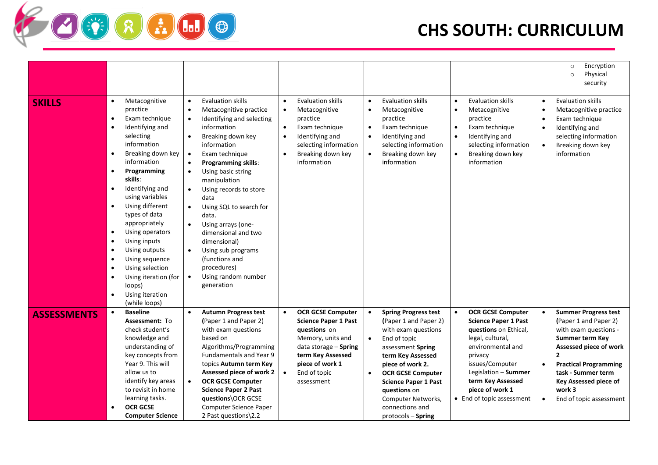|                    |                                                                                                                                                                                                                                                                                                                                                                                                                                                                                                                                                                                                          |                                                                                                                                                                                                                                                                                                                                                                                                                                                                                                                                                                                           |                                                                                                                                                                                                                       |                                                                                                                                                                                                                                                                                                                                                 |                                                                                                                                                                                                                                                      | Encryption<br>$\circ$<br>Physical<br>$\circ$<br>security                                                                                                                                                                                                                                                |
|--------------------|----------------------------------------------------------------------------------------------------------------------------------------------------------------------------------------------------------------------------------------------------------------------------------------------------------------------------------------------------------------------------------------------------------------------------------------------------------------------------------------------------------------------------------------------------------------------------------------------------------|-------------------------------------------------------------------------------------------------------------------------------------------------------------------------------------------------------------------------------------------------------------------------------------------------------------------------------------------------------------------------------------------------------------------------------------------------------------------------------------------------------------------------------------------------------------------------------------------|-----------------------------------------------------------------------------------------------------------------------------------------------------------------------------------------------------------------------|-------------------------------------------------------------------------------------------------------------------------------------------------------------------------------------------------------------------------------------------------------------------------------------------------------------------------------------------------|------------------------------------------------------------------------------------------------------------------------------------------------------------------------------------------------------------------------------------------------------|---------------------------------------------------------------------------------------------------------------------------------------------------------------------------------------------------------------------------------------------------------------------------------------------------------|
| <b>SKILLS</b>      | Metacognitive<br>$\bullet$<br>practice<br>Exam technique<br>$\bullet$<br>Identifying and<br>$\bullet$<br>selecting<br>information<br>Breaking down key<br>$\bullet$<br>information<br>Programming<br>$\bullet$<br>skills:<br>Identifying and<br>$\bullet$<br>using variables<br>Using different<br>$\bullet$<br>types of data<br>appropriately<br>Using operators<br>$\bullet$<br>Using inputs<br>$\bullet$<br>Using outputs<br>$\bullet$<br>Using sequence<br>$\bullet$<br>Using selection<br>$\bullet$<br>Using iteration (for<br>$\bullet$<br>loops)<br>Using iteration<br>$\bullet$<br>(while loops) | <b>Evaluation skills</b><br>$\bullet$<br>Metacognitive practice<br>Identifying and selecting<br>$\bullet$<br>information<br>Breaking down key<br>information<br>Exam technique<br>$\bullet$<br><b>Programming skills:</b><br>$\bullet$<br>Using basic string<br>$\bullet$<br>manipulation<br>Using records to store<br>$\bullet$<br>data<br>Using SQL to search for<br>$\bullet$<br>data.<br>Using arrays (one-<br>$\bullet$<br>dimensional and two<br>dimensional)<br>Using sub programs<br>$\bullet$<br>(functions and<br>procedures)<br>Using random number<br>$\bullet$<br>generation | <b>Evaluation skills</b><br>Metacognitive<br>practice<br>Exam technique<br>Identifying and<br>selecting information<br>Breaking down key<br>information                                                               | <b>Evaluation skills</b><br>$\bullet$<br>Metacognitive<br>$\bullet$<br>practice<br>Exam technique<br>$\bullet$<br>Identifying and<br>$\bullet$<br>selecting information<br>Breaking down key<br>$\bullet$<br>information                                                                                                                        | <b>Evaluation skills</b><br>$\bullet$<br>Metacognitive<br>$\bullet$<br>practice<br>Exam technique<br>$\bullet$<br>Identifying and<br>$\bullet$<br>selecting information<br>Breaking down key<br>information                                          | <b>Evaluation skills</b><br>$\bullet$<br>Metacognitive practice<br>$\bullet$<br>Exam technique<br>$\bullet$<br>Identifying and<br>$\bullet$<br>selecting information<br>Breaking down key<br>$\bullet$<br>information                                                                                   |
| <b>ASSESSMENTS</b> | <b>Baseline</b><br>$\bullet$<br>Assessment: To<br>check student's<br>knowledge and<br>understanding of<br>key concepts from<br>Year 9. This will<br>allow us to<br>identify key areas<br>to revisit in home<br>learning tasks.<br><b>OCR GCSE</b><br>$\bullet$<br><b>Computer Science</b>                                                                                                                                                                                                                                                                                                                | <b>Autumn Progress test</b><br>$\bullet$<br>(Paper 1 and Paper 2)<br>with exam questions<br>based on<br>Algorithms/Programming<br><b>Fundamentals and Year 9</b><br>topics Autumn term Key<br>Assessed piece of work 2<br><b>OCR GCSE Computer</b><br>$\bullet$<br><b>Science Paper 2 Past</b><br>questions\OCR GCSE<br>Computer Science Paper<br>2 Past questions\2.2                                                                                                                                                                                                                    | <b>OCR GCSE Computer</b><br>$\bullet$<br><b>Science Paper 1 Past</b><br>questions on<br>Memory, units and<br>data storage - Spring<br>term Key Assessed<br>piece of work 1<br>End of topic<br>$\bullet$<br>assessment | <b>Spring Progress test</b><br>$\bullet$<br>(Paper 1 and Paper 2)<br>with exam questions<br>End of topic<br>$\bullet$<br>assessment Spring<br>term Key Assessed<br>piece of work 2.<br><b>OCR GCSE Computer</b><br>$\bullet$<br><b>Science Paper 1 Past</b><br>questions on<br>Computer Networks,<br>connections and<br>$proto$ cols $-$ Spring | <b>OCR GCSE Computer</b><br><b>Science Paper 1 Past</b><br>questions on Ethical,<br>legal, cultural,<br>environmental and<br>privacy<br>issues/Computer<br>Legislation - Summer<br>term Key Assessed<br>piece of work 1<br>• End of topic assessment | <b>Summer Progress test</b><br>$\bullet$<br>(Paper 1 and Paper 2)<br>with exam questions -<br>Summer term Key<br>Assessed piece of work<br>$\overline{2}$<br><b>Practical Programming</b><br>$\bullet$<br>task - Summer term<br>Key Assessed piece of<br>work 3<br>End of topic assessment<br>$\bullet$ |

**FRADO**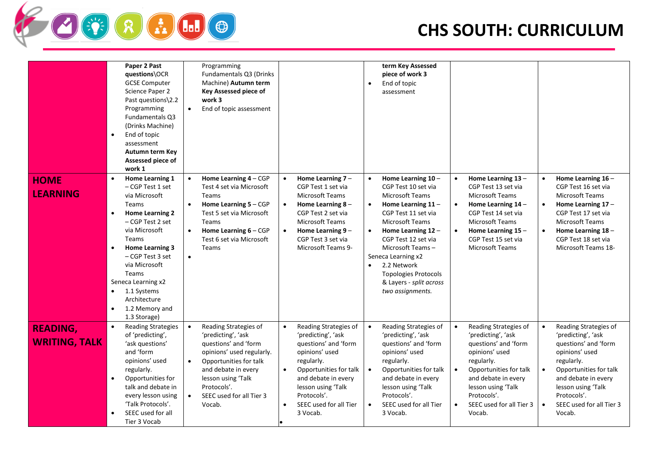

|                                         | Paper 2 Past<br>questions\OCR<br><b>GCSE Computer</b><br>Science Paper 2<br>Past questions\2.2<br>Programming<br><b>Fundamentals Q3</b><br>(Drinks Machine)<br>End of topic<br>$\bullet$<br>assessment<br>Autumn term Key<br>Assessed piece of<br>work 1                                                                                                              | Programming<br>Fundamentals Q3 (Drinks<br>Machine) Autumn term<br>Key Assessed piece of<br>work 3<br>$\bullet$<br>End of topic assessment                                                                                                                           | term Key Assessed<br>piece of work 3<br>End of topic<br>$\bullet$<br>assessment                                                                                                                                                                                                                                                                                                                                                                                                                                                                                                                      |                                                                                                                                                                                                                                                                                                                                                                                                                                                                                                           |
|-----------------------------------------|-----------------------------------------------------------------------------------------------------------------------------------------------------------------------------------------------------------------------------------------------------------------------------------------------------------------------------------------------------------------------|---------------------------------------------------------------------------------------------------------------------------------------------------------------------------------------------------------------------------------------------------------------------|------------------------------------------------------------------------------------------------------------------------------------------------------------------------------------------------------------------------------------------------------------------------------------------------------------------------------------------------------------------------------------------------------------------------------------------------------------------------------------------------------------------------------------------------------------------------------------------------------|-----------------------------------------------------------------------------------------------------------------------------------------------------------------------------------------------------------------------------------------------------------------------------------------------------------------------------------------------------------------------------------------------------------------------------------------------------------------------------------------------------------|
| <b>HOME</b><br><b>LEARNING</b>          | Home Learning 1<br>$\bullet$<br>- CGP Test 1 set<br>via Microsoft<br>Teams<br><b>Home Learning 2</b><br>$\bullet$<br>– CGP Test 2 set<br>via Microsoft<br>Teams<br>Home Learning 3<br>$\bullet$<br>- CGP Test 3 set<br>via Microsoft<br><b>Teams</b><br>Seneca Learning x2<br>1.1 Systems<br>$\bullet$<br>Architecture<br>1.2 Memory and<br>$\bullet$<br>1.3 Storage) | Home Learning $4 - CGP$<br>Test 4 set via Microsoft<br>Teams<br>Home Learning 5 - CGP<br>$\bullet$<br>Test 5 set via Microsoft<br>Teams<br>Home Learning $6 - CGP$<br>$\bullet$<br>Test 6 set via Microsoft<br>Teams<br>$\bullet$                                   | Home Learning $10 -$<br>Home Learning 7 -<br>$\bullet$<br>$\bullet$<br>CGP Test 1 set via<br>CGP Test 10 set via<br>Microsoft Teams<br><b>Microsoft Teams</b><br>Home Learning $8 -$<br>Home Learning $11 -$<br>$\bullet$<br>$\bullet$<br>CGP Test 2 set via<br>CGP Test 11 set via<br>Microsoft Teams<br><b>Microsoft Teams</b><br>Home Learning 9 -<br>Home Learning $12 -$<br>$\bullet$<br>CGP Test 3 set via<br>CGP Test 12 set via<br>Microsoft Teams 9-<br>Microsoft Teams-<br>Seneca Learning x2<br>2.2 Network<br><b>Topologies Protocols</b><br>& Layers - split across<br>two assignments. | Home Learning 16 -<br>Home Learning 13-<br>$\bullet$<br>CGP Test 13 set via<br>CGP Test 16 set via<br>Microsoft Teams<br>Microsoft Teams<br>Home Learning $14 -$<br>Home Learning $17 -$<br>$\bullet$<br>CGP Test 14 set via<br>CGP Test 17 set via<br>Microsoft Teams<br><b>Microsoft Teams</b><br>Home Learning $15 -$<br>Home Learning 18-<br>$\bullet$<br>CGP Test 15 set via<br>CGP Test 18 set via<br>Microsoft Teams<br>Microsoft Teams 18-                                                        |
| <b>READING,</b><br><b>WRITING, TALK</b> | <b>Reading Strategies</b><br>$\bullet$<br>of 'predicting',<br>'ask questions'<br>and 'form<br>opinions' used<br>regularly.<br>Opportunities for<br>$\bullet$<br>talk and debate in<br>every lesson using<br>'Talk Protocols'.<br>SEEC used for all<br>$\bullet$<br>Tier 3 Vocab                                                                                       | Reading Strategies of<br>$\bullet$<br>'predicting', 'ask<br>questions' and 'form<br>opinions' used regularly.<br>Opportunities for talk<br>$\bullet$<br>and debate in every<br>lesson using 'Talk<br>Protocols'.<br>SEEC used for all Tier 3<br>$\bullet$<br>Vocab. | Reading Strategies of<br>Reading Strategies of<br>$\bullet$<br>$\bullet$<br>'predicting', 'ask<br>'predicting', 'ask<br>questions' and 'form<br>questions' and 'form<br>opinions' used<br>opinions' used<br>regularly.<br>regularly.<br>Opportunities for talk<br>$\bullet$<br>Opportunities for talk<br>$\bullet$<br>$\bullet$<br>and debate in every<br>and debate in every<br>lesson using 'Talk<br>lesson using 'Talk<br>Protocols'.<br>Protocols'.<br>SEEC used for all Tier<br>SEEC used for all Tier<br>$\bullet$<br>$\bullet$<br>$\bullet$<br>3 Vocab.<br>3 Vocab.                           | Reading Strategies of<br>Reading Strategies of<br>$\bullet$<br>'predicting', 'ask<br>'predicting', 'ask<br>questions' and 'form<br>questions' and 'form<br>opinions' used<br>opinions' used<br>regularly.<br>regularly.<br>Opportunities for talk<br>Opportunities for talk<br>$\bullet$<br>and debate in every<br>and debate in every<br>lesson using 'Talk<br>lesson using 'Talk<br>Protocols'.<br>Protocols'.<br>SEEC used for all Tier 3<br>SEEC used for all Tier 3<br>$\bullet$<br>Vocab.<br>Vocab. |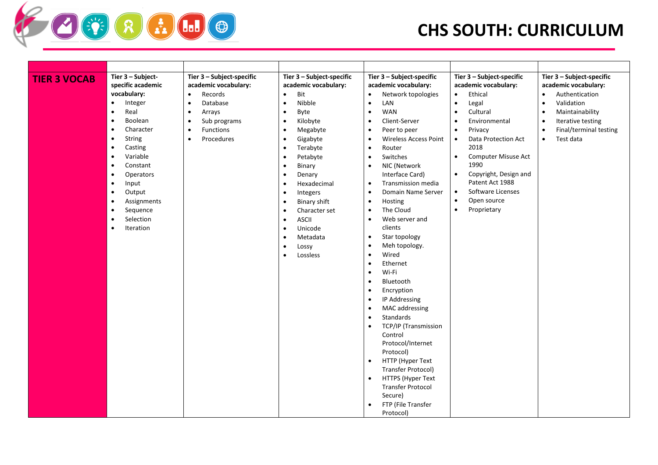| <b>TIER 3 VOCAB</b> | Tier 3 - Subject-<br>specific academic<br>vocabulary:<br>$\bullet$<br>Integer<br>$\bullet$<br>$\bullet$<br>Real<br>$\bullet$<br>$\bullet$<br>Boolean<br>$\bullet$<br>$\bullet$<br>Character<br>$\bullet$<br>$\bullet$<br>String<br>$\bullet$<br>$\bullet$<br>Casting<br>$\bullet$<br>Variable<br>$\bullet$<br>Constant<br>$\bullet$<br>Operators<br>$\bullet$<br>Input<br>$\bullet$<br>Output<br>$\bullet$<br>Assignments<br>$\bullet$<br>Sequence<br>$\bullet$<br>Selection<br>$\bullet$<br>Iteration<br>$\bullet$ | Tier 3 - Subject-specific<br>academic vocabulary:<br>Records<br>$\bullet$<br>Database<br>$\bullet$<br>Arrays<br>$\bullet$<br>Sub programs<br>$\bullet$<br>Functions<br>$\bullet$<br>Procedures<br>$\bullet$<br>٠<br>$\bullet$<br>$\bullet$<br>$\bullet$<br>$\bullet$<br>$\bullet$<br>$\bullet$ | Tier 3 - Subject-specific<br>academic vocabulary:<br>Bit<br>Nibble<br>Byte<br>Kilobyte<br>Megabyte<br>Gigabyte<br>Terabyte<br>Petabyte<br>Binary<br>Denary<br>Hexadecimal<br>Integers<br><b>Binary shift</b><br>Character set<br><b>ASCII</b><br>Unicode<br>Metadata<br>Lossy<br>Lossless | Tier 3 - Subject-specific<br>academic vocabulary:<br>Network topologies<br>$\bullet$<br>LAN<br>$\bullet$<br><b>WAN</b><br>$\bullet$<br>Client-Server<br>$\bullet$<br>Peer to peer<br>$\bullet$<br><b>Wireless Access Point</b><br>$\bullet$<br>Router<br>$\bullet$<br>Switches<br>$\bullet$<br>NIC (Network<br>$\bullet$<br>Interface Card)<br>Transmission media<br>$\bullet$<br>Domain Name Server<br>$\bullet$<br>Hosting<br>$\bullet$<br>The Cloud<br>$\bullet$<br>Web server and<br>$\bullet$<br>clients<br>Star topology<br>$\bullet$<br>Meh topology.<br>$\bullet$<br>Wired<br>$\bullet$<br>Ethernet<br>$\bullet$<br>Wi-Fi<br>$\bullet$<br>Bluetooth<br>$\bullet$<br>Encryption<br>$\bullet$<br>IP Addressing<br>$\bullet$<br>MAC addressing<br>$\bullet$<br>Standards<br>$\bullet$<br>TCP/IP (Transmission<br>$\bullet$<br>Control<br>Protocol/Internet<br>Protocol)<br>HTTP (Hyper Text<br>$\bullet$<br>Transfer Protocol)<br>HTTPS (Hyper Text<br>$\bullet$<br><b>Transfer Protocol</b><br>Secure)<br>FTP (File Transfer<br>Protocol) | Tier 3 - Subject-specific<br>academic vocabulary:<br>Ethical<br>$\bullet$<br>$\bullet$<br>Legal<br>Cultural<br>$\bullet$<br>Environmental<br>$\bullet$<br>Privacy<br>$\bullet$<br>Data Protection Act<br>$\bullet$<br>2018<br>Computer Misuse Act<br>$\bullet$<br>1990<br>Copyright, Design and<br>$\bullet$<br>Patent Act 1988<br>Software Licenses<br>$\bullet$<br>Open source<br>$\bullet$<br>Proprietary<br>$\bullet$ | Tier 3 - Subject-specific<br>academic vocabulary:<br>Authentication<br>Validation<br>$\bullet$<br>Maintainability<br>$\bullet$<br>Iterative testing<br>$\bullet$<br>Final/terminal testing<br>$\bullet$<br>Test data<br>$\bullet$ |
|---------------------|---------------------------------------------------------------------------------------------------------------------------------------------------------------------------------------------------------------------------------------------------------------------------------------------------------------------------------------------------------------------------------------------------------------------------------------------------------------------------------------------------------------------|------------------------------------------------------------------------------------------------------------------------------------------------------------------------------------------------------------------------------------------------------------------------------------------------|-------------------------------------------------------------------------------------------------------------------------------------------------------------------------------------------------------------------------------------------------------------------------------------------|-------------------------------------------------------------------------------------------------------------------------------------------------------------------------------------------------------------------------------------------------------------------------------------------------------------------------------------------------------------------------------------------------------------------------------------------------------------------------------------------------------------------------------------------------------------------------------------------------------------------------------------------------------------------------------------------------------------------------------------------------------------------------------------------------------------------------------------------------------------------------------------------------------------------------------------------------------------------------------------------------------------------------------------------------|---------------------------------------------------------------------------------------------------------------------------------------------------------------------------------------------------------------------------------------------------------------------------------------------------------------------------------------------------------------------------------------------------------------------------|-----------------------------------------------------------------------------------------------------------------------------------------------------------------------------------------------------------------------------------|

**OURGE**